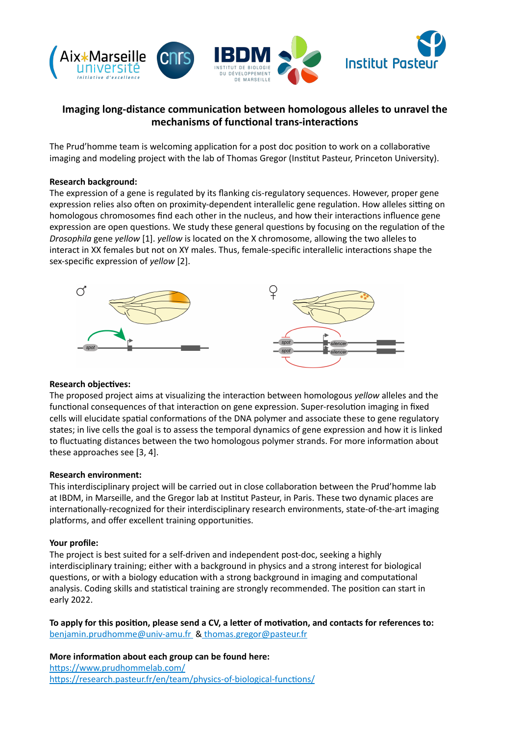

# **Imaging long-distance communication between homologous alleles to unravel the** mechanisms of functional trans-interactions

The Prud'homme team is welcoming application for a post doc position to work on a collaborative imaging and modeling project with the lab of Thomas Gregor (Institut Pasteur, Princeton University).

## **Research background:**

The expression of a gene is regulated by its flanking cis-regulatory sequences. However, proper gene expression relies also often on proximity-dependent interallelic gene regulation. How alleles sitting on homologous chromosomes find each other in the nucleus, and how their interactions influence gene expression are open questions. We study these general questions by focusing on the regulation of the *Drosophila* gene *yellow* [1]. *yellow* is located on the X chromosome, allowing the two alleles to interact in XX females but not on XY males. Thus, female-specific interallelic interactions shape the sex-specific expression of *yellow* [2].



#### **Research objectives:**

The proposed project aims at visualizing the interaction between homologous *yellow* alleles and the functional consequences of that interaction on gene expression. Super-resolution imaging in fixed cells will elucidate spatial conformations of the DNA polymer and associate these to gene regulatory states; in live cells the goal is to assess the temporal dynamics of gene expression and how it is linked to fluctuating distances between the two homologous polymer strands. For more information about these approaches see [3, 4].

#### **Research environment:**

This interdisciplinary project will be carried out in close collaboration between the Prud'homme lab at IBDM, in Marseille, and the Gregor lab at Institut Pasteur, in Paris. These two dynamic places are internationally-recognized for their interdisciplinary research environments, state-of-the-art imaging platforms, and offer excellent training opportunities.

## Your profile:

The project is best suited for a self-driven and independent post-doc, seeking a highly interdisciplinary training; either with a background in physics and a strong interest for biological questions, or with a biology education with a strong background in imaging and computational analysis. Coding skills and statistical training are strongly recommended. The position can start in early 2022. 

To apply for this position, please send a CV, a letter of motivation, and contacts for references to: benjamin.prudhomme@univ-amu.fr & [thomas.gregor@pasteur.fr](mailto:thomas.gregor@pasteur.fr)

**More information about each group can be found here:** https://www.prudhommelab.com/ https://research.pasteur.fr/en/team/physics-of-biological-functions/